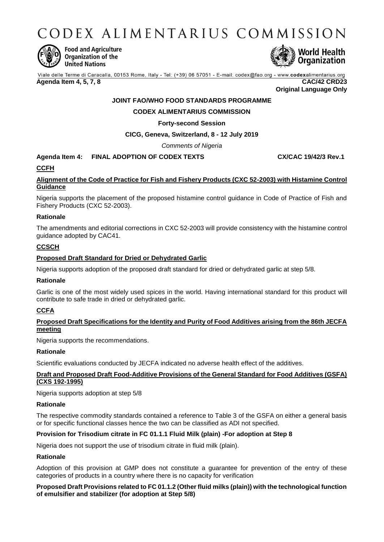CODEX ALIMENTARIUS COMMISSION



**Food and Agriculture** Organization of the **United Nations** 



Viale delle Terme di Caracalla, 00153 Rome, Italy - Tel: (+39) 06 57051 - E-mail: codex@fao.org - www.codexalimentarius.org **Agenda Item 4, 5, 7, 8 CAC/42 CRD23**

**Original Language Only**

# **JOINT FAO/WHO FOOD STANDARDS PROGRAMME**

## **CODEX ALIMENTARIUS COMMISSION**

#### **Forty-second Session**

**CICG, Geneva, Switzerland, 8 - 12 July 2019**

*Comments of Nigeria*

# **Agenda Item 4: FINAL ADOPTION OF CODEX TEXTS CX/CAC 19/42/3 Rev.1**

## **CCFH**

# **Alignment of the Code of Practice for Fish and Fishery Products (CXC 52-2003) with Histamine Control Guidance**

Nigeria supports the placement of the proposed histamine control guidance in Code of Practice of Fish and Fishery Products (CXC 52-2003).

#### **Rationale**

The amendments and editorial corrections in CXC 52-2003 will provide consistency with the histamine control guidance adopted by CAC41.

## **CCSCH**

#### **Proposed Draft Standard for Dried or Dehydrated Garlic**

Nigeria supports adoption of the proposed draft standard for dried or dehydrated garlic at step 5/8.

#### **Rationale**

Garlic is one of the most widely used spices in the world. Having international standard for this product will contribute to safe trade in dried or dehydrated garlic.

## **CCFA**

## **Proposed Draft Specifications for the Identity and Purity of Food Additives arising from the 86th JECFA meeting**

Nigeria supports the recommendations.

#### **Rationale**

Scientific evaluations conducted by JECFA indicated no adverse health effect of the additives.

## **Draft and Proposed Draft Food-Additive Provisions of the General Standard for Food Additives (GSFA) (CXS 192-1995)**

Nigeria supports adoption at step 5/8

#### **Rationale**

The respective commodity standards contained a reference to Table 3 of the GSFA on either a general basis or for specific functional classes hence the two can be classified as ADI not specified.

## **Provision for Trisodium citrate in FC 01.1.1 Fluid Milk (plain) -For adoption at Step 8**

Nigeria does not support the use of trisodium citrate in fluid milk (plain).

#### **Rationale**

Adoption of this provision at GMP does not constitute a guarantee for prevention of the entry of these categories of products in a country where there is no capacity for verification

#### **Proposed Draft Provisions related to FC 01.1.2 (Other fluid milks (plain)) with the technological function of emulsifier and stabilizer (for adoption at Step 5/8)**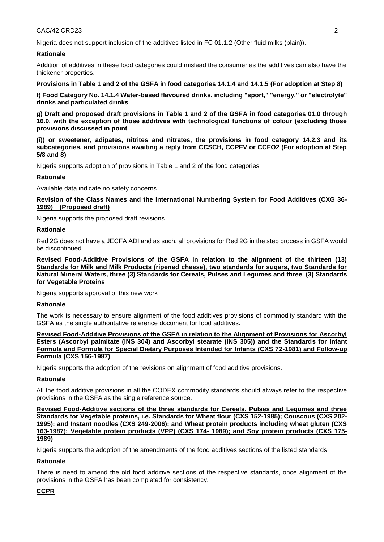Nigeria does not support inclusion of the additives listed in FC 01.1.2 (Other fluid milks (plain)).

#### **Rationale**

Addition of additives in these food categories could mislead the consumer as the additives can also have the thickener properties.

**Provisions in Table 1 and 2 of the GSFA in food categories 14.1.4 and 14.1.5 (For adoption at Step 8)** 

**f) Food Category No. 14.1.4 Water-based flavoured drinks, including "sport," "energy," or "electrolyte" drinks and particulated drinks**

**g) Draft and proposed draft provisions in Table 1 and 2 of the GSFA in food categories 01.0 through 16.0, with the exception of those additives with technological functions of colour (excluding those provisions discussed in point** 

**(i)) or sweetener, adipates, nitrites and nitrates, the provisions in food category 14.2.3 and its subcategories, and provisions awaiting a reply from CCSCH, CCPFV or CCFO2 (For adoption at Step 5/8 and 8)**

Nigeria supports adoption of provisions in Table 1 and 2 of the food categories

## **Rationale**

Available data indicate no safety concerns

## **Revision of the Class Names and the International Numbering System for Food Additives (CXG 36- 1989) (Proposed draft)**

Nigeria supports the proposed draft revisions.

#### **Rationale**

Red 2G does not have a JECFA ADI and as such, all provisions for Red 2G in the step process in GSFA would be discontinued.

**Revised Food-Additive Provisions of the GSFA in relation to the alignment of the thirteen (13) Standards for Milk and Milk Products (ripened cheese), two standards for sugars, two Standards for Natural Mineral Waters, three (3) Standards for Cereals, Pulses and Legumes and three (3) Standards for Vegetable Proteins**

Nigeria supports approval of this new work

#### **Rationale**

The work is necessary to ensure alignment of the food additives provisions of commodity standard with the GSFA as the single authoritative reference document for food additives.

**Revised Food-Additive Provisions of the GSFA in relation to the Alignment of Provisions for Ascorbyl Esters (Ascorbyl palmitate (INS 304) and Ascorbyl stearate (INS 305)) and the Standards for Infant Formula and Formula for Special Dietary Purposes Intended for Infants (CXS 72-1981) and Follow-up Formula (CXS 156-1987)**

Nigeria supports the adoption of the revisions on alignment of food additive provisions.

#### **Rationale**

All the food additive provisions in all the CODEX commodity standards should always refer to the respective provisions in the GSFA as the single reference source.

**Revised Food-Additive sections of the three standards for Cereals, Pulses and Legumes and three Standards for Vegetable proteins, i.e. Standards for Wheat flour (CXS 152-1985); Couscous (CXS 202- 1995); and Instant noodles (CXS 249-2006); and Wheat protein products including wheat gluten (CXS 163-1987); Vegetable protein products (VPP) (CXS 174- 1989); and Soy protein products (CXS 175- 1989)**

Nigeria supports the adoption of the amendments of the food additives sections of the listed standards.

## **Rationale**

There is need to amend the old food additive sections of the respective standards, once alignment of the provisions in the GSFA has been completed for consistency.

## **CCPR**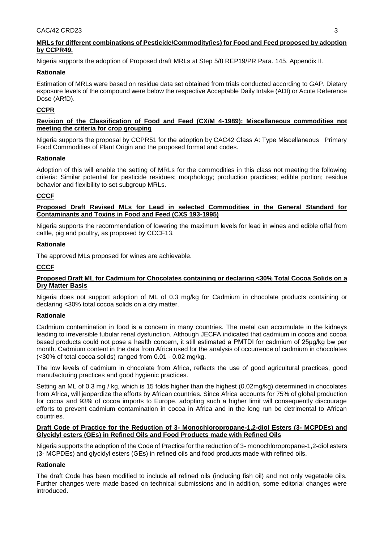# **MRLs for different combinations of Pesticide/Commodity(ies) for Food and Feed proposed by adoption by CCPR49.**

Nigeria supports the adoption of Proposed draft MRLs at Step 5/8 REP19/PR Para. 145, Appendix II.

# **Rationale**

Estimation of MRLs were based on residue data set obtained from trials conducted according to GAP. Dietary exposure levels of the compound were below the respective Acceptable Daily Intake (ADI) or Acute Reference Dose (ARfD).

# **CCPR**

## **Revision of the Classification of Food and Feed (CX/M 4-1989): Miscellaneous commodities not meeting the criteria for crop grouping**

Nigeria supports the proposal by CCPR51 for the adoption by CAC42 Class A: Type Miscellaneous Primary Food Commodities of Plant Origin and the proposed format and codes.

# **Rationale**

Adoption of this will enable the setting of MRLs for the commodities in this class not meeting the following criteria: Similar potential for pesticide residues; morphology; production practices; edible portion; residue behavior and flexibility to set subgroup MRLs.

# **CCCF**

## **Proposed Draft Revised MLs for Lead in selected Commodities in the General Standard for Contaminants and Toxins in Food and Feed (CXS 193-1995)**

Nigeria supports the recommendation of lowering the maximum levels for lead in wines and edible offal from cattle, pig and poultry, as proposed by CCCF13.

# **Rationale**

The approved MLs proposed for wines are achievable.

# **CCCF**

## **Proposed Draft ML for Cadmium for Chocolates containing or declaring <30% Total Cocoa Solids on a Dry Matter Basis**

Nigeria does not support adoption of ML of 0.3 mg/kg for Cadmium in chocolate products containing or declaring <30% total cocoa solids on a dry matter.

## **Rationale**

Cadmium contamination in food is a concern in many countries. The metal can accumulate in the kidneys leading to irreversible tubular renal dysfunction. Although JECFA indicated that cadmium in cocoa and cocoa based products could not pose a health concern, it still estimated a PMTDI for cadmium of 25μg/kg bw per month. Cadmium content in the data from Africa used for the analysis of occurrence of cadmium in chocolates (<30% of total cocoa solids) ranged from 0.01 - 0.02 mg/kg.

The low levels of cadmium in chocolate from Africa, reflects the use of good agricultural practices, good manufacturing practices and good hygienic practices.

Setting an ML of 0.3 mg / kg, which is 15 folds higher than the highest (0.02mg/kg) determined in chocolates from Africa, will jeopardize the efforts by African countries. Since Africa accounts for 75% of global production for cocoa and 93% of cocoa imports to Europe, adopting such a higher limit will consequently discourage efforts to prevent cadmium contamination in cocoa in Africa and in the long run be detrimental to African countries.

#### **Draft Code of Practice for the Reduction of 3- Monochloropropane-1,2-diol Esters (3- MCPDEs) and Glycidyl esters (GEs) in Refined Oils and Food Products made with Refined Oils**

Nigeria supports the adoption of the Code of Practice for the reduction of 3- monochloropropane-1,2-diol esters (3- MCPDEs) and glycidyl esters (GEs) in refined oils and food products made with refined oils.

# **Rationale**

The draft Code has been modified to include all refined oils (including fish oil) and not only vegetable oils. Further changes were made based on technical submissions and in addition, some editorial changes were introduced.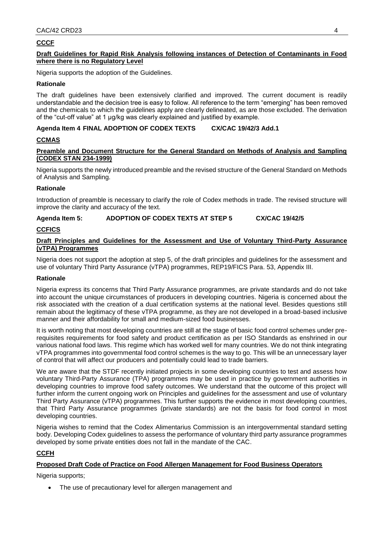# **CCCF**

#### **Draft Guidelines for Rapid Risk Analysis following instances of Detection of Contaminants in Food where there is no Regulatory Level**

Nigeria supports the adoption of the Guidelines.

#### **Rationale**

The draft guidelines have been extensively clarified and improved. The current document is readily understandable and the decision tree is easy to follow. All reference to the term "emerging" has been removed and the chemicals to which the guidelines apply are clearly delineated, as are those excluded. The derivation of the "cut-off value" at 1 µg/kg was clearly explained and justified by example.

## **Agenda Item 4 FINAL ADOPTION OF CODEX TEXTS CX/CAC 19/42/3 Add.1**

#### **CCMAS**

#### **Preamble and Document Structure for the General Standard on Methods of Analysis and Sampling (CODEX STAN 234-1999)**

Nigeria supports the newly introduced preamble and the revised structure of the General Standard on Methods of Analysis and Sampling.

#### **Rationale**

Introduction of preamble is necessary to clarify the role of Codex methods in trade. The revised structure will improve the clarity and accuracy of the text.

## **Agenda Item 5: ADOPTION OF CODEX TEXTS AT STEP 5 CX/CAC 19/42/5**

## **CCFICS**

#### **Draft Principles and Guidelines for the Assessment and Use of Voluntary Third-Party Assurance (vTPA) Programmes**

Nigeria does not support the adoption at step 5, of the draft principles and guidelines for the assessment and use of voluntary Third Party Assurance (vTPA) programmes, REP19/FICS Para. 53, Appendix III.

#### **Rationale**

Nigeria express its concerns that Third Party Assurance programmes, are private standards and do not take into account the unique circumstances of producers in developing countries. Nigeria is concerned about the risk associated with the creation of a dual certification systems at the national level. Besides questions still remain about the legitimacy of these vTPA programme, as they are not developed in a broad-based inclusive manner and their affordability for small and medium-sized food businesses.

It is worth noting that most developing countries are still at the stage of basic food control schemes under prerequisites requirements for food safety and product certification as per ISO Standards as enshrined in our various national food laws. This regime which has worked well for many countries. We do not think integrating vTPA programmes into governmental food control schemes is the way to go. This will be an unnecessary layer of control that will affect our producers and potentially could lead to trade barriers.

We are aware that the STDF recently initiated projects in some developing countries to test and assess how voluntary Third-Party Assurance (TPA) programmes may be used in practice by government authorities in developing countries to improve food safety outcomes. We understand that the outcome of this project will further inform the current ongoing work on Principles and guidelines for the assessment and use of voluntary Third Party Assurance (vTPA) programmes. This further supports the evidence in most developing countries, that Third Party Assurance programmes (private standards) are not the basis for food control in most developing countries.

Nigeria wishes to remind that the Codex Alimentarius Commission is an intergovernmental standard setting body. Developing Codex guidelines to assess the performance of voluntary third party assurance programmes developed by some private entities does not fall in the mandate of the CAC.

## **CCFH**

## **Proposed Draft Code of Practice on Food Allergen Management for Food Business Operators**

Nigeria supports;

The use of precautionary level for allergen management and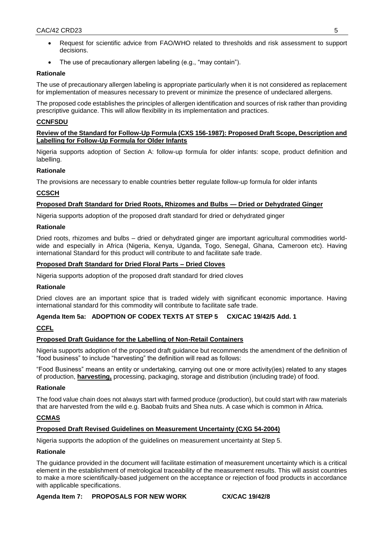- Request for scientific advice from FAO/WHO related to thresholds and risk assessment to support decisions.
- The use of precautionary allergen labeling (e.g., "may contain").

# **Rationale**

The use of precautionary allergen labeling is appropriate particularly when it is not considered as replacement for implementation of measures necessary to prevent or minimize the presence of undeclared allergens.

The proposed code establishes the principles of allergen identification and sources of risk rather than providing prescriptive guidance. This will allow flexibility in its implementation and practices.

# **CCNFSDU**

#### **Review of the Standard for Follow-Up Formula (CXS 156-1987): Proposed Draft Scope, Description and Labelling for Follow-Up Formula for Older Infants**

Nigeria supports adoption of Section A: follow-up formula for older infants: scope, product definition and labelling.

## **Rationale**

The provisions are necessary to enable countries better regulate follow-up formula for older infants

# **CCSCH**

# **Proposed Draft Standard for Dried Roots, Rhizomes and Bulbs — Dried or Dehydrated Ginger**

Nigeria supports adoption of the proposed draft standard for dried or dehydrated ginger

## **Rationale**

Dried roots, rhizomes and bulbs – dried or dehydrated ginger are important agricultural commodities worldwide and especially in Africa (Nigeria, Kenya, Uganda, Togo, Senegal, Ghana, Cameroon etc). Having international Standard for this product will contribute to and facilitate safe trade.

# **Proposed Draft Standard for Dried Floral Parts – Dried Cloves**

Nigeria supports adoption of the proposed draft standard for dried cloves

## **Rationale**

Dried cloves are an important spice that is traded widely with significant economic importance. Having international standard for this commodity will contribute to facilitate safe trade.

## **Agenda Item 5a: ADOPTION OF CODEX TEXTS AT STEP 5 CX/CAC 19/42/5 Add. 1**

# **CCFL**

## **Proposed Draft Guidance for the Labelling of Non-Retail Containers**

Nigeria supports adoption of the proposed draft guidance but recommends the amendment of the definition of "food business" to include "harvesting" the definition will read as follows:

"Food Business" means an entity or undertaking, carrying out one or more activity(ies) related to any stages of production, **harvesting,** processing, packaging, storage and distribution (including trade) of food.

## **Rationale**

The food value chain does not always start with farmed produce (production), but could start with raw materials that are harvested from the wild e.g. Baobab fruits and Shea nuts. A case which is common in Africa.

# **CCMAS**

## **Proposed Draft Revised Guidelines on Measurement Uncertainty (CXG 54-2004)**

Nigeria supports the adoption of the guidelines on measurement uncertainty at Step 5.

## **Rationale**

The guidance provided in the document will facilitate estimation of measurement uncertainty which is a critical element in the establishment of metrological traceability of the measurement results. This will assist countries to make a more scientifically-based judgement on the acceptance or rejection of food products in accordance with applicable specifications.

**Agenda Item 7: PROPOSALS FOR NEW WORK CX/CAC 19/42/8**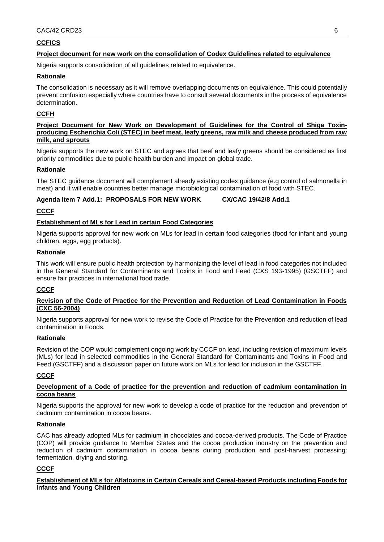# **CCFICS**

## **Project document for new work on the consolidation of Codex Guidelines related to equivalence**

Nigeria supports consolidation of all guidelines related to equivalence.

## **Rationale**

The consolidation is necessary as it will remove overlapping documents on equivalence. This could potentially prevent confusion especially where countries have to consult several documents in the process of equivalence determination.

# **CCFH**

#### **Project Document for New Work on Development of Guidelines for the Control of Shiga Toxinproducing Escherichia Coli (STEC) in beef meat, leafy greens, raw milk and cheese produced from raw milk, and sprouts**

Nigeria supports the new work on STEC and agrees that beef and leafy greens should be considered as first priority commodities due to public health burden and impact on global trade.

## **Rationale**

The STEC guidance document will complement already existing codex guidance (e.g control of salmonella in meat) and it will enable countries better manage microbiological contamination of food with STEC.

## **Agenda Item 7 Add.1: PROPOSALS FOR NEW WORK CX/CAC 19/42/8 Add.1**

## **CCCF**

## **Establishment of MLs for Lead in certain Food Categories**

Nigeria supports approval for new work on MLs for lead in certain food categories (food for infant and young children, eggs, egg products).

## **Rationale**

This work will ensure public health protection by harmonizing the level of lead in food categories not included in the General Standard for Contaminants and Toxins in Food and Feed (CXS 193-1995) (GSCTFF) and ensure fair practices in international food trade.

## **CCCF**

#### **Revision of the Code of Practice for the Prevention and Reduction of Lead Contamination in Foods (CXC 56-2004)**

Nigeria supports approval for new work to revise the Code of Practice for the Prevention and reduction of lead contamination in Foods.

#### **Rationale**

Revision of the COP would complement ongoing work by CCCF on lead, including revision of maximum levels (MLs) for lead in selected commodities in the General Standard for Contaminants and Toxins in Food and Feed (GSCTFF) and a discussion paper on future work on MLs for lead for inclusion in the GSCTFF.

## **CCCF**

#### **Development of a Code of practice for the prevention and reduction of cadmium contamination in cocoa beans**

Nigeria supports the approval for new work to develop a code of practice for the reduction and prevention of cadmium contamination in cocoa beans.

#### **Rationale**

CAC has already adopted MLs for cadmium in chocolates and cocoa-derived products. The Code of Practice (COP) will provide guidance to Member States and the cocoa production industry on the prevention and reduction of cadmium contamination in cocoa beans during production and post-harvest processing: fermentation, drying and storing.

## **CCCF**

#### **Establishment of MLs for Aflatoxins in Certain Cereals and Cereal-based Products including Foods for Infants and Young Children**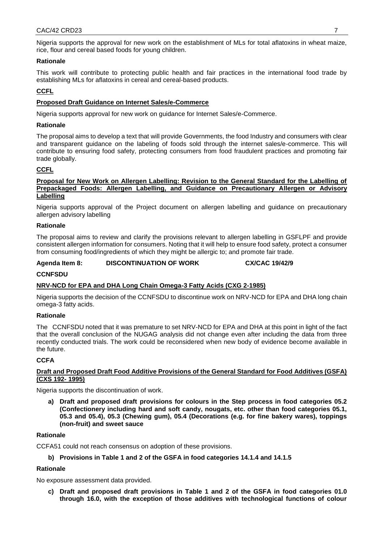Nigeria supports the approval for new work on the establishment of MLs for total aflatoxins in wheat maize, rice, flour and cereal based foods for young children.

## **Rationale**

This work will contribute to protecting public health and fair practices in the international food trade by establishing MLs for aflatoxins in cereal and cereal-based products.

# **CCFL**

#### **Proposed Draft Guidance on Internet Sales/e-Commerce**

Nigeria supports approval for new work on guidance for Internet Sales/e-Commerce.

#### **Rationale**

The proposal aims to develop a text that will provide Governments, the food Industry and consumers with clear and transparent guidance on the labeling of foods sold through the internet sales/e-commerce. This will contribute to ensuring food safety, protecting consumers from food fraudulent practices and promoting fair trade globally.

#### **CCFL**

#### **Proposal for New Work on Allergen Labelling: Revision to the General Standard for the Labelling of Prepackaged Foods: Allergen Labelling, and Guidance on Precautionary Allergen or Advisory Labelling**

Nigeria supports approval of the Project document on allergen labelling and guidance on precautionary allergen advisory labelling

#### **Rationale**

The proposal aims to review and clarify the provisions relevant to allergen labelling in GSFLPF and provide consistent allergen information for consumers. Noting that it will help to ensure food safety, protect a consumer from consuming food/ingredients of which they might be allergic to; and promote fair trade.

**Agenda Item 8: DISCONTINUATION OF WORK CX/CAC 19/42/9**

#### **CCNFSDU**

## **NRV-NCD for EPA and DHA Long Chain Omega-3 Fatty Acids (CXG 2-1985)**

Nigeria supports the decision of the CCNFSDU to discontinue work on NRV-NCD for EPA and DHA long chain omega-3 fatty acids.

#### **Rationale**

The CCNFSDU noted that it was premature to set NRV-NCD for EPA and DHA at this point in light of the fact that the overall conclusion of the NUGAG analysis did not change even after including the data from three recently conducted trials. The work could be reconsidered when new body of evidence become available in the future.

#### **CCFA**

#### **Draft and Proposed Draft Food Additive Provisions of the General Standard for Food Additives (GSFA) (CXS 192- 1995)**

Nigeria supports the discontinuation of work.

**a) Draft and proposed draft provisions for colours in the Step process in food categories 05.2 (Confectionery including hard and soft candy, nougats, etc. other than food categories 05.1, 05.3 and 05.4), 05.3 (Chewing gum), 05.4 (Decorations (e.g. for fine bakery wares), toppings (non-fruit) and sweet sauce**

#### **Rationale**

CCFA51 could not reach consensus on adoption of these provisions.

**b) Provisions in Table 1 and 2 of the GSFA in food categories 14.1.4 and 14.1.5**

#### **Rationale**

No exposure assessment data provided.

**c) Draft and proposed draft provisions in Table 1 and 2 of the GSFA in food categories 01.0 through 16.0, with the exception of those additives with technological functions of colour**